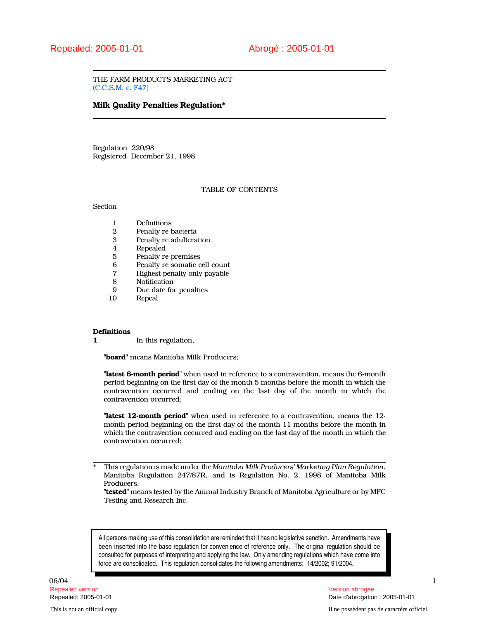THE FARM PRODUCTS MARKETING ACT (C.C.S.M. c. F47)

# Milk Quality Penalties Regulation\*

Regulation 220/98 Registered December 21, 1998

# TABLE OF CONTENTS

Section

- 1 Definitions<br>2 Penalty re b
- 2 Penalty re bacteria<br>3 Penalty re adultera
- Penalty re adulteration
- 4 Repealed
- 5 Penalty re premises<br>6 Penalty re somatic c
- 6 Penalty re somatic cell count<br>7 Highest penalty only payable
- 7 Highest penalty only payable
- 8 Notification<br>9 Due date for
- 9 Due date for penalties<br>10 Repeal
- **Repeal**

#### **Definitions**

1 In this regulation,

"board" means Manitoba Milk Producers;

"latest 6-month period" when used in reference to a contravention, means the 6-month period beginning on the first day of the month 5 months before the month in which the contravention occurred and ending on the last day of the month in which the contravention occurred;

"latest 12-month period" when used in reference to a contravention, means the 12month period beginning on the first day of the month 11 months before the month in which the contravention occurred and ending on the last day of the month in which the contravention occurred;

This regulation is made under the Manitoba Milk Producers' Marketing Plan Regulation, Manitoba Regulation 247/87R, and is Regulation No. 2, 1998 of Manitoba Milk Producers.

"tested" means tested by the Animal Industry Branch of Manitoba Agriculture or by MFC Testing and Research Inc.

All persons making use of this consolidation are reminded that it has no legislative sanction. Amendments have been inserted into the base regulation for convenience of reference only. The original regulation should be consulted for purposes of interpreting and applying the law. Only amending regulations which have come into force are consolidated. This regulation consolidates the following amendments: 14/2002; 91/2004.

 $06/04$  and the contract of the contract of the contract of the contract of the contract of the contract of the contract of the contract of the contract of the contract of the contract of the contract of the contract of t Repealed version Version abrogée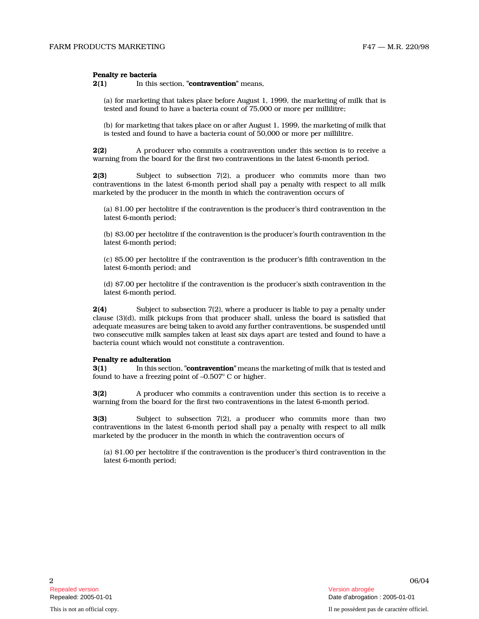# Penalty re bacteria

 $2(1)$  In this section, "**contravention**" means,

(a) for marketing that takes place before August 1, 1999, the marketing of milk that is tested and found to have a bacteria count of 75,000 or more per millilitre;

(b) for marketing that takes place on or after August 1, 1999, the marketing of milk that is tested and found to have a bacteria count of 50,000 or more per millilitre.

2(2) A producer who commits a contravention under this section is to receive a warning from the board for the first two contraventions in the latest 6-month period.

2(3) Subject to subsection 7(2), a producer who commits more than two contraventions in the latest 6-month period shall pay a penalty with respect to all milk marketed by the producer in the month in which the contravention occurs of

(a) \$1.00 per hectolitre if the contravention is the producer's third contravention in the latest 6-month period;

(b) \$3.00 per hectolitre if the contravention is the producer's fourth contravention in the latest 6-month period;

(c) \$5.00 per hectolitre if the contravention is the producer's fifth contravention in the latest 6-month period; and

(d) \$7.00 per hectolitre if the contravention is the producer's sixth contravention in the latest 6-month period.

2(4) Subject to subsection 7(2), where a producer is liable to pay a penalty under clause (3)(d), milk pickups from that producer shall, unless the board is satisfied that adequate measures are being taken to avoid any further contraventions, be suspended until two consecutive milk samples taken at least six days apart are tested and found to have a bacteria count which would not constitute a contravention.

# Penalty re adulteration

**3(1)** In this section, "**contravention**" means the marketing of milk that is tested and found to have a freezing point of  $-0.507^{\circ}$  C or higher.

3(2) A producer who commits a contravention under this section is to receive a warning from the board for the first two contraventions in the latest 6-month period.

3(3) Subject to subsection 7(2), a producer who commits more than two contraventions in the latest 6-month period shall pay a penalty with respect to all milk marketed by the producer in the month in which the contravention occurs of

(a) \$1.00 per hectolitre if the contravention is the producer's third contravention in the latest 6-month period;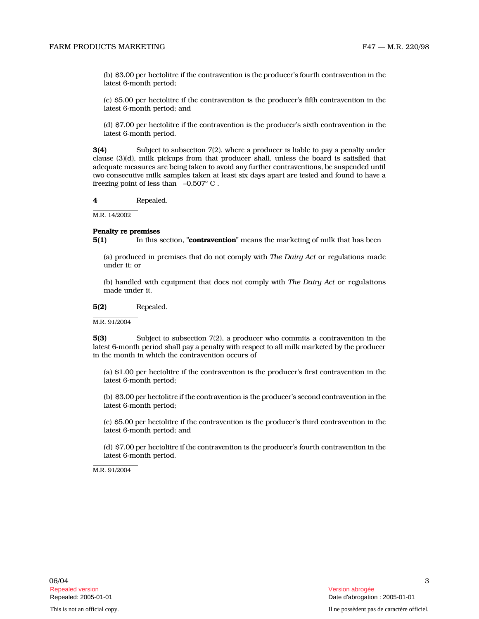(b) \$3.00 per hectolitre if the contravention is the producer's fourth contravention in the latest 6-month period;

(c) \$5.00 per hectolitre if the contravention is the producer's fifth contravention in the latest 6-month period; and

(d) \$7.00 per hectolitre if the contravention is the producer's sixth contravention in the latest 6-month period.

3(4) Subject to subsection 7(2), where a producer is liable to pay a penalty under clause (3)(d), milk pickups from that producer shall, unless the board is satisfied that adequate measures are being taken to avoid any further contraventions, be suspended until two consecutive milk samples taken at least six days apart are tested and found to have a freezing point of less than  $-0.507^{\circ}$  C.

4 Repealed.

M.R. 14/2002

## Penalty re premises

5(1) In this section, "**contravention**" means the marketing of milk that has been

(a) produced in premises that do not comply with The Dairy Act or regulations made under it; or

(b) handled with equipment that does not comply with The Dairy Act or regulations made under it.

5(2) Repealed.

M.R. 91/2004

5(3) Subject to subsection 7(2), a producer who commits a contravention in the latest 6-month period shall pay a penalty with respect to all milk marketed by the producer in the month in which the contravention occurs of

(a) \$1.00 per hectolitre if the contravention is the producer's first contravention in the latest 6-month period;

(b) \$3.00 per hectolitre if the contravention is the producer's second contravention in the latest 6-month period;

(c) \$5.00 per hectolitre if the contravention is the producer's third contravention in the latest 6-month period; and

(d) \$7.00 per hectolitre if the contravention is the producer's fourth contravention in the latest 6-month period.

M.R. 91/2004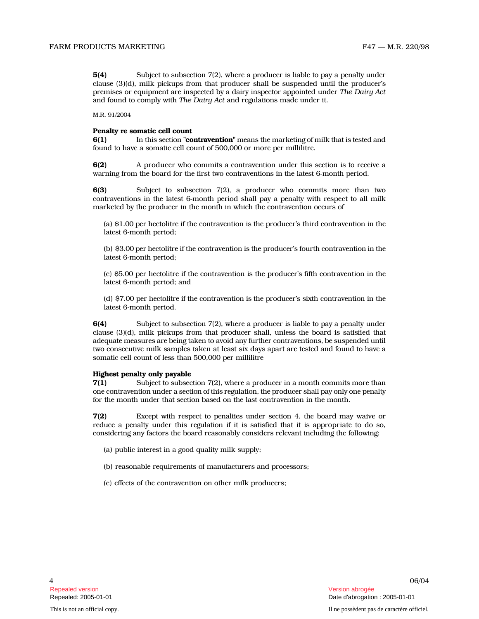5(4) Subject to subsection 7(2), where a producer is liable to pay a penalty under clause (3)(d), milk pickups from that producer shall be suspended until the producer's premises or equipment are inspected by a dairy inspector appointed under The Dairy Act and found to comply with The Dairy Act and regulations made under it.

M.R. 91/2004

# Penalty re somatic cell count

6(1) In this section "**contravention**" means the marketing of milk that is tested and found to have a somatic cell count of 500,000 or more per millilitre.

6(2) A producer who commits a contravention under this section is to receive a warning from the board for the first two contraventions in the latest 6-month period.

6(3) Subject to subsection 7(2), a producer who commits more than two contraventions in the latest 6-month period shall pay a penalty with respect to all milk marketed by the producer in the month in which the contravention occurs of

(a) \$1.00 per hectolitre if the contravention is the producer's third contravention in the latest 6-month period;

(b) \$3.00 per hectolitre if the contravention is the producer's fourth contravention in the latest 6-month period;

(c) \$5.00 per hectolitre if the contravention is the producer's fifth contravention in the latest 6-month period; and

(d) \$7.00 per hectolitre if the contravention is the producer's sixth contravention in the latest 6-month period.

6(4) Subject to subsection 7(2), where a producer is liable to pay a penalty under clause (3)(d), milk pickups from that producer shall, unless the board is satisfied that adequate measures are being taken to avoid any further contraventions, be suspended until two consecutive milk samples taken at least six days apart are tested and found to have a somatic cell count of less than 500,000 per millilitre

# Highest penalty only payable

7(1) Subject to subsection 7(2), where a producer in a month commits more than one contravention under a section of this regulation, the producer shall pay only one penalty for the month under that section based on the last contravention in the month.

7(2) Except with respect to penalties under section 4, the board may waive or reduce a penalty under this regulation if it is satisfied that it is appropriate to do so, considering any factors the board reasonably considers relevant including the following:

- (a) public interest in a good quality milk supply;
- (b) reasonable requirements of manufacturers and processors;
- (c) effects of the contravention on other milk producers;